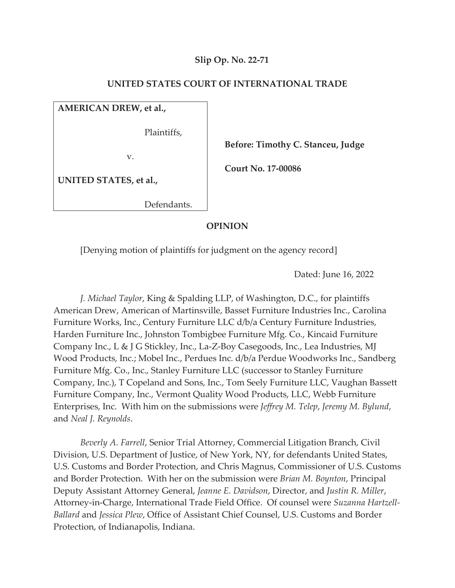## **Slip Op. No. 22-71**

## **UNITED STATES COURT OF INTERNATIONAL TRADE**

| <b>AMERICAN DREW, et al.,</b> |             |
|-------------------------------|-------------|
|                               | Plaintiffs, |
|                               |             |

v.

 **Before: Timothy C. Stanceu, Judge** 

 **Court No. 17-00086** 

**UNITED STATES, et al.,** 

Defendants.

### **OPINION**

[Denying motion of plaintiffs for judgment on the agency record]

Dated: June 16, 2022

*J. Michael Taylor*, King & Spalding LLP, of Washington, D.C., for plaintiffs American Drew, American of Martinsville, Basset Furniture Industries Inc., Carolina Furniture Works, Inc., Century Furniture LLC d/b/a Century Furniture Industries, Harden Furniture Inc., Johnston Tombigbee Furniture Mfg. Co., Kincaid Furniture Company Inc., L & J G Stickley, Inc., La-Z-Boy Casegoods, Inc., Lea Industries, MJ Wood Products, Inc.; Mobel Inc., Perdues Inc. d/b/a Perdue Woodworks Inc., Sandberg Furniture Mfg. Co., Inc., Stanley Furniture LLC (successor to Stanley Furniture Company, Inc.), T Copeland and Sons, Inc., Tom Seely Furniture LLC, Vaughan Bassett Furniture Company, Inc., Vermont Quality Wood Products, LLC, Webb Furniture Enterprises, Inc. With him on the submissions were *Jeffrey M. Telep*, *Jeremy M. Bylund*, and *Neal J. Reynolds*.

*Beverly A. Farrell*, Senior Trial Attorney, Commercial Litigation Branch, Civil Division, U.S. Department of Justice, of New York, NY, for defendants United States, U.S. Customs and Border Protection, and Chris Magnus, Commissioner of U.S. Customs and Border Protection. With her on the submission were *Brian M. Boynton*, Principal Deputy Assistant Attorney General, *Jeanne E. Davidson*, Director, and *Justin R. Miller*, Attorney-in-Charge, International Trade Field Office. Of counsel were *Suzanna Hartzell-Ballard* and *Jessica Plew*, Office of Assistant Chief Counsel, U.S. Customs and Border Protection, of Indianapolis, Indiana.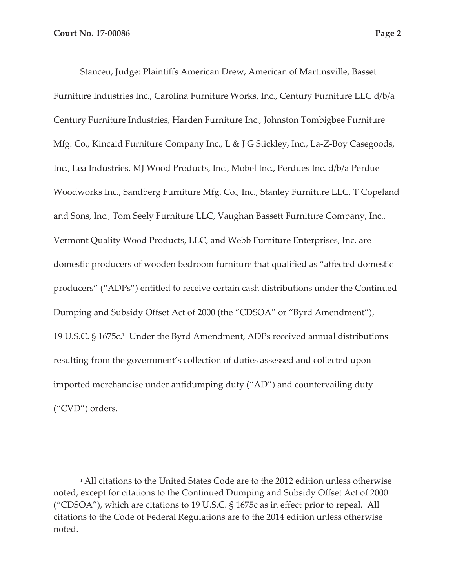Stanceu, Judge: Plaintiffs American Drew, American of Martinsville, Basset Furniture Industries Inc., Carolina Furniture Works, Inc., Century Furniture LLC d/b/a Century Furniture Industries, Harden Furniture Inc., Johnston Tombigbee Furniture Mfg. Co., Kincaid Furniture Company Inc., L & J G Stickley, Inc., La-Z-Boy Casegoods, Inc., Lea Industries, MJ Wood Products, Inc., Mobel Inc., Perdues Inc. d/b/a Perdue Woodworks Inc., Sandberg Furniture Mfg. Co., Inc., Stanley Furniture LLC, T Copeland and Sons, Inc., Tom Seely Furniture LLC, Vaughan Bassett Furniture Company, Inc., Vermont Quality Wood Products, LLC, and Webb Furniture Enterprises, Inc. are domestic producers of wooden bedroom furniture that qualified as "affected domestic producers" ("ADPs") entitled to receive certain cash distributions under the Continued Dumping and Subsidy Offset Act of 2000 (the "CDSOA" or "Byrd Amendment"), 19 U.S.C. § 1675c.1 Under the Byrd Amendment, ADPs received annual distributions resulting from the government's collection of duties assessed and collected upon imported merchandise under antidumping duty ("AD") and countervailing duty ("CVD") orders.

<sup>&</sup>lt;sup>1</sup> All citations to the United States Code are to the 2012 edition unless otherwise noted, except for citations to the Continued Dumping and Subsidy Offset Act of 2000 ("CDSOA"), which are citations to 19 U.S.C. § 1675c as in effect prior to repeal. All citations to the Code of Federal Regulations are to the 2014 edition unless otherwise noted.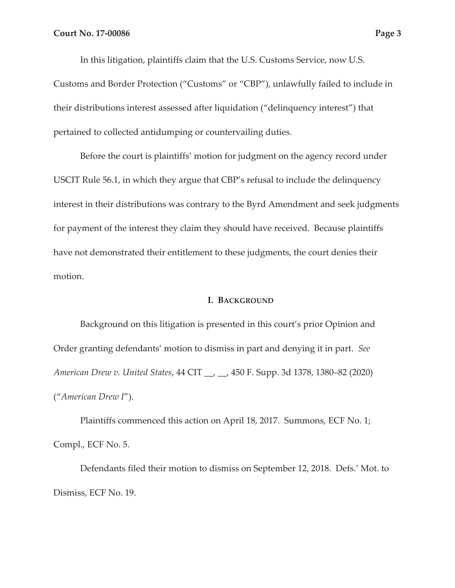In this litigation, plaintiffs claim that the U.S. Customs Service, now U.S.

Customs and Border Protection ("Customs" or "CBP"), unlawfully failed to include in their distributions interest assessed after liquidation ("delinquency interest") that pertained to collected antidumping or countervailing duties.

Before the court is plaintiffs' motion for judgment on the agency record under USCIT Rule 56.1, in which they argue that CBP's refusal to include the delinquency interest in their distributions was contrary to the Byrd Amendment and seek judgments for payment of the interest they claim they should have received. Because plaintiffs have not demonstrated their entitlement to these judgments, the court denies their motion.

#### **I. BACKGROUND**

Background on this litigation is presented in this court's prior Opinion and Order granting defendants' motion to dismiss in part and denying it in part. *See American Drew v. United States*, 44 CIT \_\_, \_\_, 450 F. Supp. 3d 1378, 1380–82 (2020) ("*American Drew I*").

Plaintiffs commenced this action on April 18, 2017. Summons, ECF No. 1; Compl., ECF No. 5.

Defendants filed their motion to dismiss on September 12, 2018. Defs.' Mot. to Dismiss, ECF No. 19.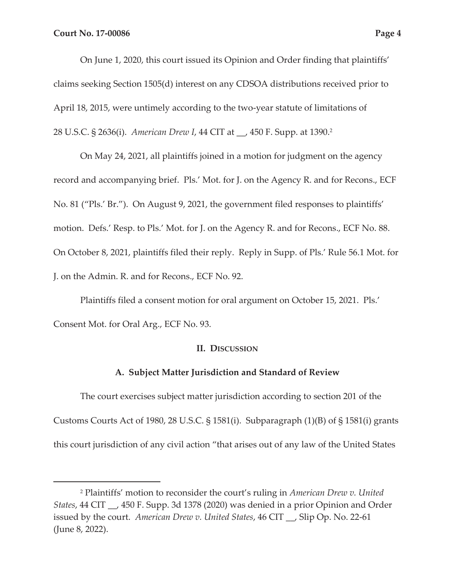On June 1, 2020, this court issued its Opinion and Order finding that plaintiffs' claims seeking Section 1505(d) interest on any CDSOA distributions received prior to April 18, 2015, were untimely according to the two-year statute of limitations of 28 U.S.C. § 2636(i). *American Drew I*, 44 CIT at \_\_, 450 F. Supp. at 1390.2

On May 24, 2021, all plaintiffs joined in a motion for judgment on the agency record and accompanying brief. Pls.' Mot. for J. on the Agency R. and for Recons., ECF No. 81 ("Pls.' Br."). On August 9, 2021, the government filed responses to plaintiffs' motion. Defs.' Resp. to Pls.' Mot. for J. on the Agency R. and for Recons., ECF No. 88. On October 8, 2021, plaintiffs filed their reply. Reply in Supp. of Pls.' Rule 56.1 Mot. for J. on the Admin. R. and for Recons., ECF No. 92.

Plaintiffs filed a consent motion for oral argument on October 15, 2021. Pls.' Consent Mot. for Oral Arg., ECF No. 93.

### **II. DISCUSSION**

## **A. Subject Matter Jurisdiction and Standard of Review**

The court exercises subject matter jurisdiction according to section 201 of the Customs Courts Act of 1980, 28 U.S.C. § 1581(i). Subparagraph (1)(B) of § 1581(i) grants this court jurisdiction of any civil action "that arises out of any law of the United States

<sup>2</sup> Plaintiffs' motion to reconsider the court's ruling in *American Drew v. United States*, 44 CIT \_\_, 450 F. Supp. 3d 1378 (2020) was denied in a prior Opinion and Order issued by the court. *American Drew v. United States*, 46 CIT \_\_, Slip Op. No. 22-61 (June 8, 2022).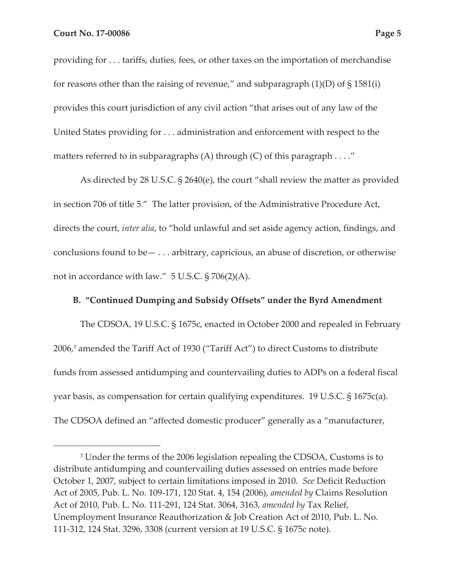providing for . . . tariffs, duties, fees, or other taxes on the importation of merchandise for reasons other than the raising of revenue," and subparagraph  $(1)(D)$  of  $\S 1581(i)$ provides this court jurisdiction of any civil action "that arises out of any law of the United States providing for . . . administration and enforcement with respect to the matters referred to in subparagraphs  $(A)$  through  $(C)$  of this paragraph  $\dots$ "

As directed by 28 U.S.C. § 2640(e), the court "shall review the matter as provided in section 706 of title 5." The latter provision, of the Administrative Procedure Act, directs the court, *inter alia*, to "hold unlawful and set aside agency action, findings, and conclusions found to be— . . . arbitrary, capricious, an abuse of discretion, or otherwise not in accordance with law." 5 U.S.C. § 706(2)(A).

### **B. "Continued Dumping and Subsidy Offsets" under the Byrd Amendment**

The CDSOA, 19 U.S.C. § 1675c, enacted in October 2000 and repealed in February 2006,3 amended the Tariff Act of 1930 ("Tariff Act") to direct Customs to distribute funds from assessed antidumping and countervailing duties to ADPs on a federal fiscal year basis, as compensation for certain qualifying expenditures. 19 U.S.C. § 1675c(a). The CDSOA defined an "affected domestic producer" generally as a "manufacturer,

<sup>3</sup> Under the terms of the 2006 legislation repealing the CDSOA, Customs is to distribute antidumping and countervailing duties assessed on entries made before October 1, 2007, subject to certain limitations imposed in 2010. *See* Deficit Reduction Act of 2005, Pub. L. No. 109-171, 120 Stat. 4, 154 (2006), *amended by* Claims Resolution Act of 2010, Pub. L. No. 111-291, 124 Stat. 3064, 3163, *amended by* Tax Relief, Unemployment Insurance Reauthorization & Job Creation Act of 2010, Pub. L. No. 111-312, 124 Stat. 3296, 3308 (current version at 19 U.S.C. § 1675c note).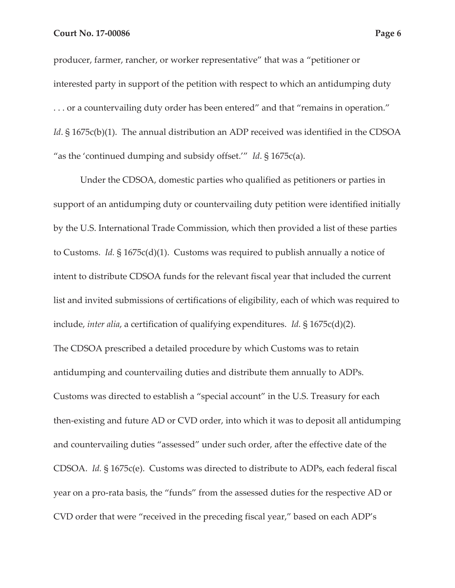producer, farmer, rancher, or worker representative" that was a "petitioner or interested party in support of the petition with respect to which an antidumping duty . . . or a countervailing duty order has been entered" and that "remains in operation." *Id*. § 1675c(b)(1). The annual distribution an ADP received was identified in the CDSOA "as the 'continued dumping and subsidy offset.'" *Id*. § 1675c(a).

Under the CDSOA, domestic parties who qualified as petitioners or parties in support of an antidumping duty or countervailing duty petition were identified initially by the U.S. International Trade Commission, which then provided a list of these parties to Customs. *Id.* § 1675c(d)(1). Customs was required to publish annually a notice of intent to distribute CDSOA funds for the relevant fiscal year that included the current list and invited submissions of certifications of eligibility, each of which was required to include, *inter alia*, a certification of qualifying expenditures. *Id.* § 1675c(d)(2). The CDSOA prescribed a detailed procedure by which Customs was to retain antidumping and countervailing duties and distribute them annually to ADPs. Customs was directed to establish a "special account" in the U.S. Treasury for each then-existing and future AD or CVD order, into which it was to deposit all antidumping and countervailing duties "assessed" under such order, after the effective date of the CDSOA. *Id.* § 1675c(e). Customs was directed to distribute to ADPs, each federal fiscal year on a pro-rata basis, the "funds" from the assessed duties for the respective AD or CVD order that were "received in the preceding fiscal year," based on each ADP's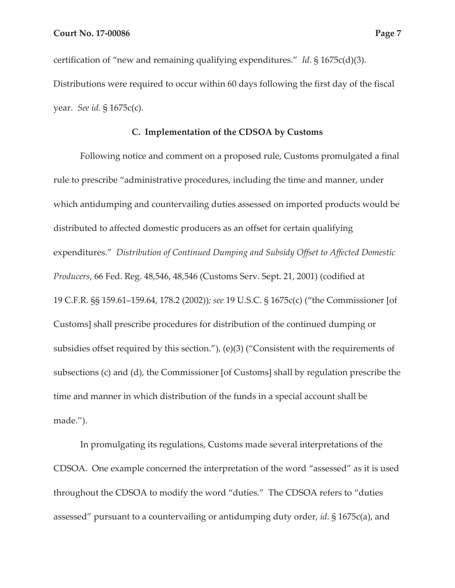certification of "new and remaining qualifying expenditures." *Id*. § 1675c(d)(3). Distributions were required to occur within 60 days following the first day of the fiscal year. *See id*. § 1675c(c).

### **C. Implementation of the CDSOA by Customs**

Following notice and comment on a proposed rule, Customs promulgated a final rule to prescribe "administrative procedures, including the time and manner, under which antidumping and countervailing duties assessed on imported products would be distributed to affected domestic producers as an offset for certain qualifying expenditures." *Distribution of Continued Dumping and Subsidy Offset to Affected Domestic Producers*, 66 Fed. Reg. 48,546, 48,546 (Customs Serv. Sept. 21, 2001) (codified at 19 C.F.R. §§ 159.61–159.64, 178.2 (2002))*; see* 19 U.S.C. § 1675c(c) ("the Commissioner [of Customs] shall prescribe procedures for distribution of the continued dumping or subsidies offset required by this section."), (e)(3) ("Consistent with the requirements of subsections (c) and (d), the Commissioner [of Customs] shall by regulation prescribe the time and manner in which distribution of the funds in a special account shall be made.").

In promulgating its regulations, Customs made several interpretations of the CDSOA. One example concerned the interpretation of the word "assessed" as it is used throughout the CDSOA to modify the word "duties." The CDSOA refers to "duties assessed" pursuant to a countervailing or antidumping duty order, *id*. § 1675c(a), and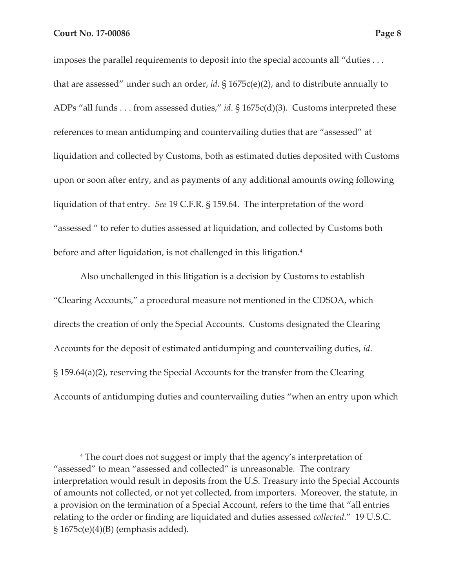imposes the parallel requirements to deposit into the special accounts all "duties . . . that are assessed" under such an order, *id*. § 1675c(e)(2), and to distribute annually to ADPs "all funds . . . from assessed duties," *id*. § 1675c(d)(3). Customs interpreted these references to mean antidumping and countervailing duties that are "assessed" at liquidation and collected by Customs, both as estimated duties deposited with Customs upon or soon after entry, and as payments of any additional amounts owing following liquidation of that entry. *See* 19 C.F.R. § 159.64. The interpretation of the word "assessed " to refer to duties assessed at liquidation, and collected by Customs both before and after liquidation, is not challenged in this litigation.<sup>4</sup>

Also unchallenged in this litigation is a decision by Customs to establish "Clearing Accounts," a procedural measure not mentioned in the CDSOA, which directs the creation of only the Special Accounts. Customs designated the Clearing Accounts for the deposit of estimated antidumping and countervailing duties, *id*. § 159.64(a)(2), reserving the Special Accounts for the transfer from the Clearing Accounts of antidumping duties and countervailing duties "when an entry upon which

<sup>4</sup> The court does not suggest or imply that the agency's interpretation of "assessed" to mean "assessed and collected" is unreasonable. The contrary interpretation would result in deposits from the U.S. Treasury into the Special Accounts of amounts not collected, or not yet collected, from importers. Moreover, the statute, in a provision on the termination of a Special Account, refers to the time that "all entries relating to the order or finding are liquidated and duties assessed *collected*." 19 U.S.C.  $\S 1675c(e)(4)(B)$  (emphasis added).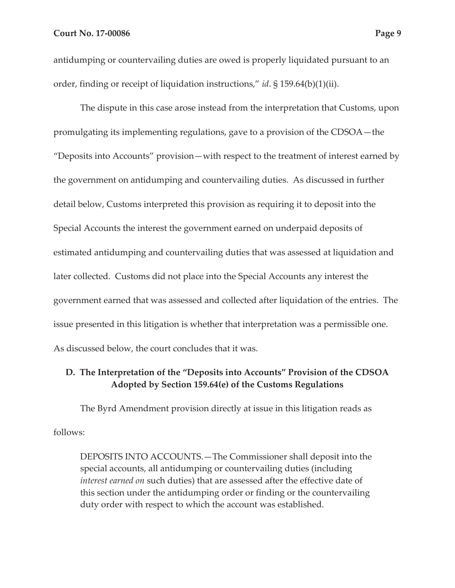antidumping or countervailing duties are owed is properly liquidated pursuant to an order, finding or receipt of liquidation instructions," *id*. § 159.64(b)(1)(ii).

The dispute in this case arose instead from the interpretation that Customs, upon promulgating its implementing regulations, gave to a provision of the CDSOA—the "Deposits into Accounts" provision—with respect to the treatment of interest earned by the government on antidumping and countervailing duties. As discussed in further detail below, Customs interpreted this provision as requiring it to deposit into the Special Accounts the interest the government earned on underpaid deposits of estimated antidumping and countervailing duties that was assessed at liquidation and later collected. Customs did not place into the Special Accounts any interest the government earned that was assessed and collected after liquidation of the entries. The issue presented in this litigation is whether that interpretation was a permissible one. As discussed below, the court concludes that it was.

# **D. The Interpretation of the "Deposits into Accounts" Provision of the CDSOA Adopted by Section 159.64(e) of the Customs Regulations**

The Byrd Amendment provision directly at issue in this litigation reads as

follows:

DEPOSITS INTO ACCOUNTS.—The Commissioner shall deposit into the special accounts, all antidumping or countervailing duties (including *interest earned on* such duties) that are assessed after the effective date of this section under the antidumping order or finding or the countervailing duty order with respect to which the account was established.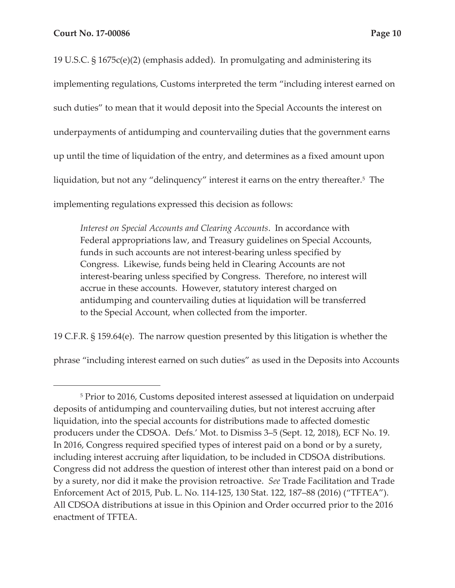19 U.S.C. § 1675c(e)(2) (emphasis added). In promulgating and administering its implementing regulations, Customs interpreted the term "including interest earned on such duties" to mean that it would deposit into the Special Accounts the interest on underpayments of antidumping and countervailing duties that the government earns up until the time of liquidation of the entry, and determines as a fixed amount upon liquidation, but not any "delinquency" interest it earns on the entry thereafter.<sup>5</sup> The implementing regulations expressed this decision as follows:

*Interest on Special Accounts and Clearing Accounts*. In accordance with Federal appropriations law, and Treasury guidelines on Special Accounts, funds in such accounts are not interest-bearing unless specified by Congress. Likewise, funds being held in Clearing Accounts are not interest-bearing unless specified by Congress. Therefore, no interest will accrue in these accounts. However, statutory interest charged on antidumping and countervailing duties at liquidation will be transferred to the Special Account, when collected from the importer.

19 C.F.R. § 159.64(e). The narrow question presented by this litigation is whether the

phrase "including interest earned on such duties" as used in the Deposits into Accounts

<sup>5</sup> Prior to 2016, Customs deposited interest assessed at liquidation on underpaid deposits of antidumping and countervailing duties, but not interest accruing after liquidation, into the special accounts for distributions made to affected domestic producers under the CDSOA. Defs.' Mot. to Dismiss 3–5 (Sept. 12, 2018), ECF No. 19. In 2016, Congress required specified types of interest paid on a bond or by a surety, including interest accruing after liquidation, to be included in CDSOA distributions. Congress did not address the question of interest other than interest paid on a bond or by a surety, nor did it make the provision retroactive. *See* Trade Facilitation and Trade Enforcement Act of 2015, Pub. L. No. 114-125, 130 Stat. 122, 187–88 (2016) ("TFTEA"). All CDSOA distributions at issue in this Opinion and Order occurred prior to the 2016 enactment of TFTEA.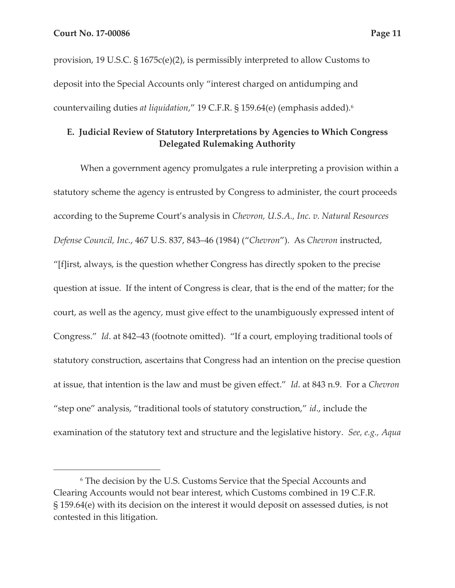provision, 19 U.S.C. § 1675c(e)(2), is permissibly interpreted to allow Customs to deposit into the Special Accounts only "interest charged on antidumping and countervailing duties *at liquidation*," 19 C.F.R. § 159.64(e) (emphasis added).6

# **E. Judicial Review of Statutory Interpretations by Agencies to Which Congress Delegated Rulemaking Authority**

When a government agency promulgates a rule interpreting a provision within a statutory scheme the agency is entrusted by Congress to administer, the court proceeds according to the Supreme Court's analysis in *Chevron, U.S.A., Inc. v. Natural Resources Defense Council, Inc.*, 467 U.S. 837, 843–46 (1984) ("*Chevron*"). As *Chevron* instructed, "[f]irst, always, is the question whether Congress has directly spoken to the precise question at issue. If the intent of Congress is clear, that is the end of the matter; for the court, as well as the agency, must give effect to the unambiguously expressed intent of Congress." *Id*. at 842–43 (footnote omitted). "If a court, employing traditional tools of statutory construction, ascertains that Congress had an intention on the precise question at issue, that intention is the law and must be given effect." *Id*. at 843 n.9. For a *Chevron*  "step one" analysis, "traditional tools of statutory construction," *id*., include the examination of the statutory text and structure and the legislative history. *See, e.g., Aqua* 

<sup>6</sup> The decision by the U.S. Customs Service that the Special Accounts and Clearing Accounts would not bear interest, which Customs combined in 19 C.F.R. § 159.64(e) with its decision on the interest it would deposit on assessed duties, is not contested in this litigation.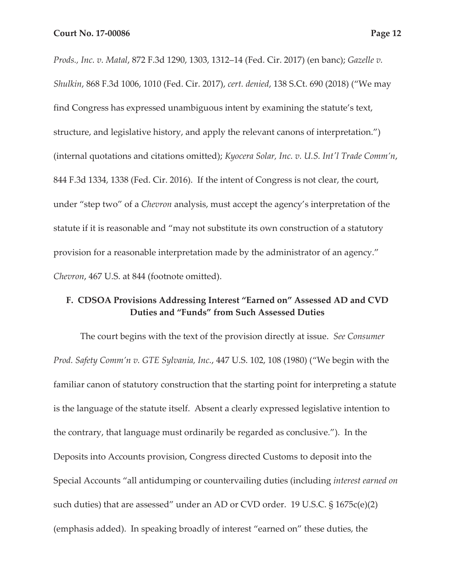*Prods., Inc. v. Matal*, 872 F.3d 1290, 1303, 1312–14 (Fed. Cir. 2017) (en banc); *Gazelle v. Shulkin*, 868 F.3d 1006, 1010 (Fed. Cir. 2017), *cert. denied*, 138 S.Ct. 690 (2018) ("We may find Congress has expressed unambiguous intent by examining the statute's text, structure, and legislative history, and apply the relevant canons of interpretation.") (internal quotations and citations omitted); *Kyocera Solar, Inc. v. U.S. Int'l Trade Comm'n*, 844 F.3d 1334, 1338 (Fed. Cir. 2016). If the intent of Congress is not clear, the court, under "step two" of a *Chevron* analysis, must accept the agency's interpretation of the statute if it is reasonable and "may not substitute its own construction of a statutory provision for a reasonable interpretation made by the administrator of an agency." *Chevron*, 467 U.S. at 844 (footnote omitted).

# **F. CDSOA Provisions Addressing Interest "Earned on" Assessed AD and CVD Duties and "Funds" from Such Assessed Duties**

The court begins with the text of the provision directly at issue. *See Consumer Prod. Safety Comm'n v. GTE Sylvania, Inc.*, 447 U.S. 102, 108 (1980) ("We begin with the familiar canon of statutory construction that the starting point for interpreting a statute is the language of the statute itself. Absent a clearly expressed legislative intention to the contrary, that language must ordinarily be regarded as conclusive*.*"). In the Deposits into Accounts provision, Congress directed Customs to deposit into the Special Accounts "all antidumping or countervailing duties (including *interest earned on* such duties) that are assessed" under an AD or CVD order. 19 U.S.C. § 1675c(e)(2) (emphasis added). In speaking broadly of interest "earned on" these duties, the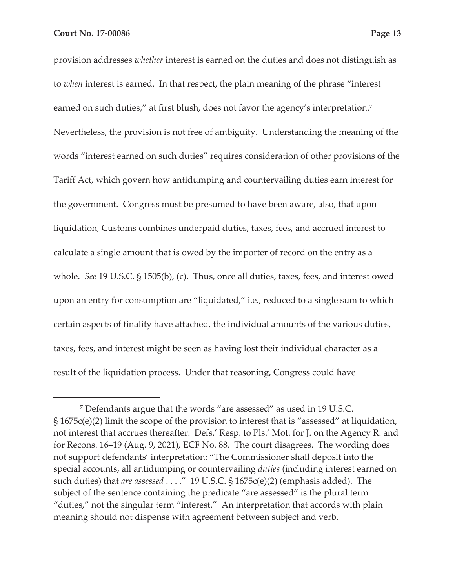provision addresses *whether* interest is earned on the duties and does not distinguish as to *when* interest is earned. In that respect, the plain meaning of the phrase "interest earned on such duties," at first blush, does not favor the agency's interpretation.7 Nevertheless, the provision is not free of ambiguity. Understanding the meaning of the words "interest earned on such duties" requires consideration of other provisions of the Tariff Act, which govern how antidumping and countervailing duties earn interest for the government. Congress must be presumed to have been aware, also, that upon liquidation, Customs combines underpaid duties, taxes, fees, and accrued interest to calculate a single amount that is owed by the importer of record on the entry as a whole. *See* 19 U.S.C. § 1505(b), (c). Thus, once all duties, taxes, fees, and interest owed upon an entry for consumption are "liquidated," i.e., reduced to a single sum to which certain aspects of finality have attached, the individual amounts of the various duties, taxes, fees, and interest might be seen as having lost their individual character as a result of the liquidation process. Under that reasoning, Congress could have

<sup>7</sup> Defendants argue that the words "are assessed" as used in 19 U.S.C. § 1675c(e)(2) limit the scope of the provision to interest that is "assessed" at liquidation, not interest that accrues thereafter. Defs.' Resp. to Pls.' Mot. for J. on the Agency R. and for Recons. 16–19 (Aug. 9, 2021), ECF No. 88. The court disagrees. The wording does not support defendants' interpretation: "The Commissioner shall deposit into the special accounts, all antidumping or countervailing *duties* (including interest earned on such duties) that *are assessed* . . . ." 19 U.S.C. § 1675c(e)(2) (emphasis added). The subject of the sentence containing the predicate "are assessed" is the plural term "duties," not the singular term "interest." An interpretation that accords with plain meaning should not dispense with agreement between subject and verb.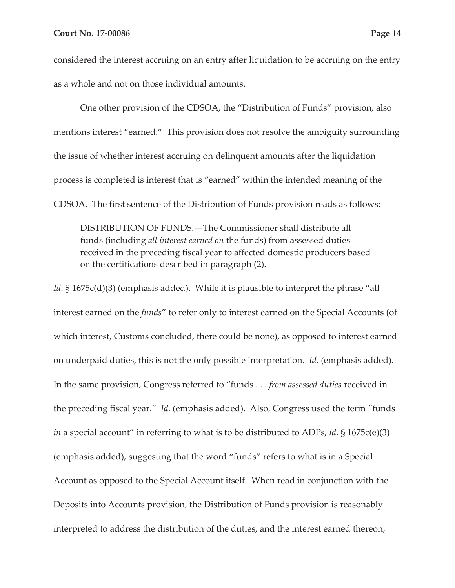considered the interest accruing on an entry after liquidation to be accruing on the entry as a whole and not on those individual amounts.

One other provision of the CDSOA, the "Distribution of Funds" provision, also mentions interest "earned." This provision does not resolve the ambiguity surrounding the issue of whether interest accruing on delinquent amounts after the liquidation process is completed is interest that is "earned" within the intended meaning of the CDSOA. The first sentence of the Distribution of Funds provision reads as follows:

DISTRIBUTION OF FUNDS.—The Commissioner shall distribute all funds (including *all interest earned on* the funds) from assessed duties received in the preceding fiscal year to affected domestic producers based on the certifications described in paragraph (2).

*Id*. § 1675c(d)(3) (emphasis added). While it is plausible to interpret the phrase "all interest earned on the *funds*" to refer only to interest earned on the Special Accounts (of which interest, Customs concluded, there could be none), as opposed to interest earned on underpaid duties, this is not the only possible interpretation. *Id.* (emphasis added). In the same provision, Congress referred to "funds . . . *from assessed duties* received in the preceding fiscal year." *Id*. (emphasis added). Also, Congress used the term "funds *in* a special account" in referring to what is to be distributed to ADPs, *id*. § 1675c(e)(3) (emphasis added), suggesting that the word "funds" refers to what is in a Special Account as opposed to the Special Account itself. When read in conjunction with the Deposits into Accounts provision, the Distribution of Funds provision is reasonably interpreted to address the distribution of the duties, and the interest earned thereon,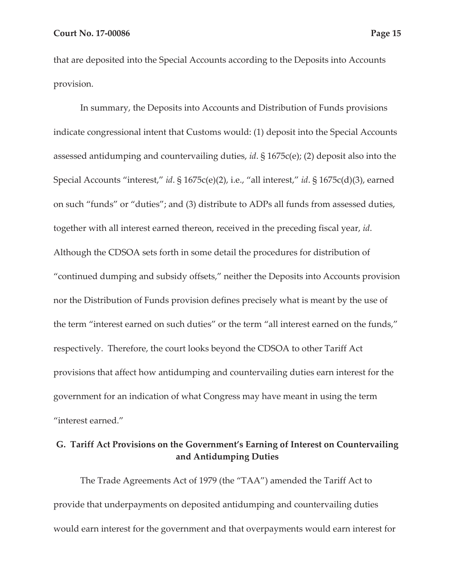that are deposited into the Special Accounts according to the Deposits into Accounts provision.

In summary, the Deposits into Accounts and Distribution of Funds provisions indicate congressional intent that Customs would: (1) deposit into the Special Accounts assessed antidumping and countervailing duties, *id*. § 1675c(e); (2) deposit also into the Special Accounts "interest," *id*. § 1675c(e)(2), i.e., "all interest," *id*. § 1675c(d)(3), earned on such "funds" or "duties"; and (3) distribute to ADPs all funds from assessed duties, together with all interest earned thereon, received in the preceding fiscal year, *id*. Although the CDSOA sets forth in some detail the procedures for distribution of "continued dumping and subsidy offsets," neither the Deposits into Accounts provision nor the Distribution of Funds provision defines precisely what is meant by the use of the term "interest earned on such duties" or the term "all interest earned on the funds," respectively. Therefore, the court looks beyond the CDSOA to other Tariff Act provisions that affect how antidumping and countervailing duties earn interest for the government for an indication of what Congress may have meant in using the term "interest earned."

# **G. Tariff Act Provisions on the Government's Earning of Interest on Countervailing and Antidumping Duties**

The Trade Agreements Act of 1979 (the "TAA") amended the Tariff Act to provide that underpayments on deposited antidumping and countervailing duties would earn interest for the government and that overpayments would earn interest for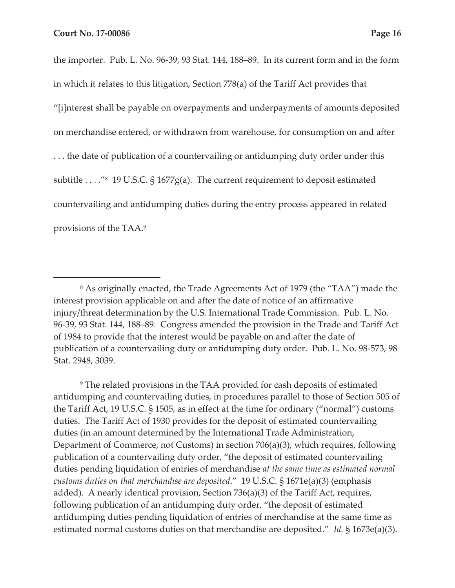the importer. Pub. L. No. 96-39, 93 Stat. 144, 188–89. In its current form and in the form in which it relates to this litigation, Section 778(a) of the Tariff Act provides that "[i]nterest shall be payable on overpayments and underpayments of amounts deposited on merchandise entered, or withdrawn from warehouse, for consumption on and after . . . the date of publication of a countervailing or antidumping duty order under this subtitle  $\dots$ ."<sup>8</sup> 19 U.S.C. § 1677g(a). The current requirement to deposit estimated countervailing and antidumping duties during the entry process appeared in related provisions of the TAA.9

9 The related provisions in the TAA provided for cash deposits of estimated antidumping and countervailing duties, in procedures parallel to those of Section 505 of the Tariff Act, 19 U.S.C. § 1505, as in effect at the time for ordinary ("normal") customs duties. The Tariff Act of 1930 provides for the deposit of estimated countervailing duties (in an amount determined by the International Trade Administration, Department of Commerce, not Customs) in section 706(a)(3), which requires, following publication of a countervailing duty order, "the deposit of estimated countervailing duties pending liquidation of entries of merchandise *at the same time as estimated normal customs duties on that merchandise are deposited*." 19 U.S.C. § 1671e(a)(3) (emphasis added). A nearly identical provision, Section 736(a)(3) of the Tariff Act, requires, following publication of an antidumping duty order, "the deposit of estimated antidumping duties pending liquidation of entries of merchandise at the same time as estimated normal customs duties on that merchandise are deposited." *Id.* § 1673e(a)(3).

<sup>8</sup> As originally enacted, the Trade Agreements Act of 1979 (the "TAA") made the interest provision applicable on and after the date of notice of an affirmative injury/threat determination by the U.S. International Trade Commission. Pub. L. No. 96-39, 93 Stat. 144, 188–89. Congress amended the provision in the Trade and Tariff Act of 1984 to provide that the interest would be payable on and after the date of publication of a countervailing duty or antidumping duty order. Pub. L. No. 98-573, 98 Stat. 2948, 3039.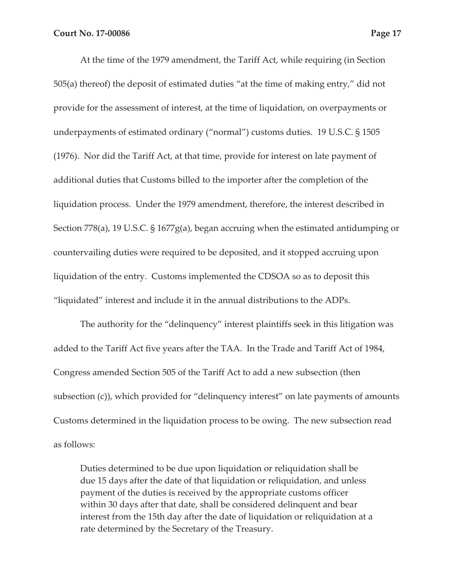At the time of the 1979 amendment, the Tariff Act, while requiring (in Section 505(a) thereof) the deposit of estimated duties "at the time of making entry," did not provide for the assessment of interest, at the time of liquidation, on overpayments or underpayments of estimated ordinary ("normal") customs duties. 19 U.S.C. § 1505 (1976). Nor did the Tariff Act, at that time, provide for interest on late payment of additional duties that Customs billed to the importer after the completion of the liquidation process. Under the 1979 amendment, therefore, the interest described in Section 778(a), 19 U.S.C. § 1677g(a), began accruing when the estimated antidumping or countervailing duties were required to be deposited, and it stopped accruing upon liquidation of the entry. Customs implemented the CDSOA so as to deposit this "liquidated" interest and include it in the annual distributions to the ADPs.

The authority for the "delinquency" interest plaintiffs seek in this litigation was added to the Tariff Act five years after the TAA. In the Trade and Tariff Act of 1984, Congress amended Section 505 of the Tariff Act to add a new subsection (then subsection (c)), which provided for "delinquency interest" on late payments of amounts Customs determined in the liquidation process to be owing. The new subsection read as follows:

Duties determined to be due upon liquidation or reliquidation shall be due 15 days after the date of that liquidation or reliquidation, and unless payment of the duties is received by the appropriate customs officer within 30 days after that date, shall be considered delinquent and bear interest from the 15th day after the date of liquidation or reliquidation at a rate determined by the Secretary of the Treasury.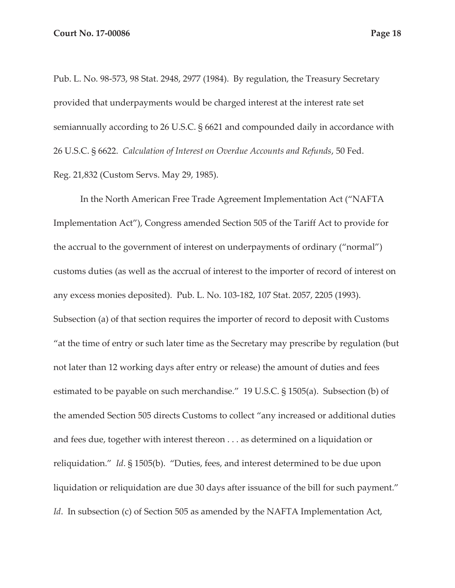Pub. L. No. 98-573, 98 Stat. 2948, 2977 (1984). By regulation, the Treasury Secretary provided that underpayments would be charged interest at the interest rate set semiannually according to 26 U.S.C. § 6621 and compounded daily in accordance with 26 U.S.C. § 6622. *Calculation of Interest on Overdue Accounts and Refunds*, 50 Fed. Reg. 21,832 (Custom Servs. May 29, 1985).

In the North American Free Trade Agreement Implementation Act ("NAFTA Implementation Act"), Congress amended Section 505 of the Tariff Act to provide for the accrual to the government of interest on underpayments of ordinary ("normal") customs duties (as well as the accrual of interest to the importer of record of interest on any excess monies deposited). Pub. L. No. 103-182, 107 Stat. 2057, 2205 (1993). Subsection (a) of that section requires the importer of record to deposit with Customs "at the time of entry or such later time as the Secretary may prescribe by regulation (but not later than 12 working days after entry or release) the amount of duties and fees estimated to be payable on such merchandise." 19 U.S.C. § 1505(a). Subsection (b) of the amended Section 505 directs Customs to collect "any increased or additional duties and fees due, together with interest thereon . . . as determined on a liquidation or reliquidation." *Id*. § 1505(b). "Duties, fees, and interest determined to be due upon liquidation or reliquidation are due 30 days after issuance of the bill for such payment." *Id.* In subsection (c) of Section 505 as amended by the NAFTA Implementation Act,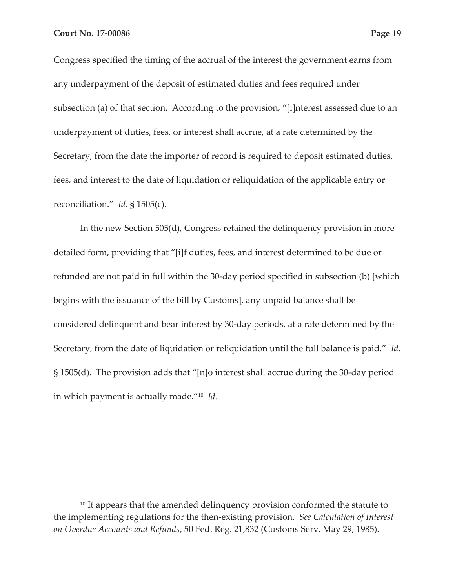Congress specified the timing of the accrual of the interest the government earns from any underpayment of the deposit of estimated duties and fees required under subsection (a) of that section. According to the provision, "[i]nterest assessed due to an underpayment of duties, fees, or interest shall accrue, at a rate determined by the Secretary, from the date the importer of record is required to deposit estimated duties, fees, and interest to the date of liquidation or reliquidation of the applicable entry or reconciliation." *Id.* § 1505(c).

In the new Section 505(d), Congress retained the delinquency provision in more detailed form, providing that "[i]f duties, fees, and interest determined to be due or refunded are not paid in full within the 30-day period specified in subsection (b) [which begins with the issuance of the bill by Customs], any unpaid balance shall be considered delinquent and bear interest by 30-day periods, at a rate determined by the Secretary, from the date of liquidation or reliquidation until the full balance is paid." *Id*. § 1505(d). The provision adds that "[n]o interest shall accrue during the 30-day period in which payment is actually made."10 *Id*.

<sup>&</sup>lt;sup>10</sup> It appears that the amended delinquency provision conformed the statute to the implementing regulations for the then-existing provision. *See Calculation of Interest on Overdue Accounts and Refunds*, 50 Fed. Reg. 21,832 (Customs Serv. May 29, 1985).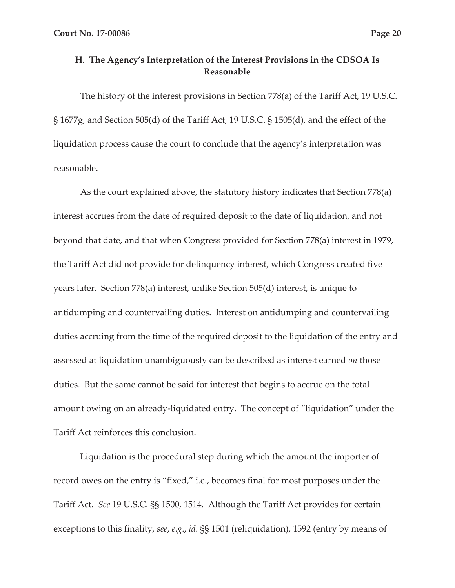# **H. The Agency's Interpretation of the Interest Provisions in the CDSOA Is Reasonable**

The history of the interest provisions in Section 778(a) of the Tariff Act, 19 U.S.C. § 1677g, and Section 505(d) of the Tariff Act, 19 U.S.C. § 1505(d), and the effect of the liquidation process cause the court to conclude that the agency's interpretation was reasonable.

As the court explained above, the statutory history indicates that Section 778(a) interest accrues from the date of required deposit to the date of liquidation, and not beyond that date, and that when Congress provided for Section 778(a) interest in 1979, the Tariff Act did not provide for delinquency interest, which Congress created five years later. Section 778(a) interest, unlike Section 505(d) interest, is unique to antidumping and countervailing duties. Interest on antidumping and countervailing duties accruing from the time of the required deposit to the liquidation of the entry and assessed at liquidation unambiguously can be described as interest earned *on* those duties. But the same cannot be said for interest that begins to accrue on the total amount owing on an already-liquidated entry. The concept of "liquidation" under the Tariff Act reinforces this conclusion.

Liquidation is the procedural step during which the amount the importer of record owes on the entry is "fixed," i.e., becomes final for most purposes under the Tariff Act. *See* 19 U.S.C. §§ 1500, 1514. Although the Tariff Act provides for certain exceptions to this finality, *see*, *e.g*., *id*. §§ 1501 (reliquidation), 1592 (entry by means of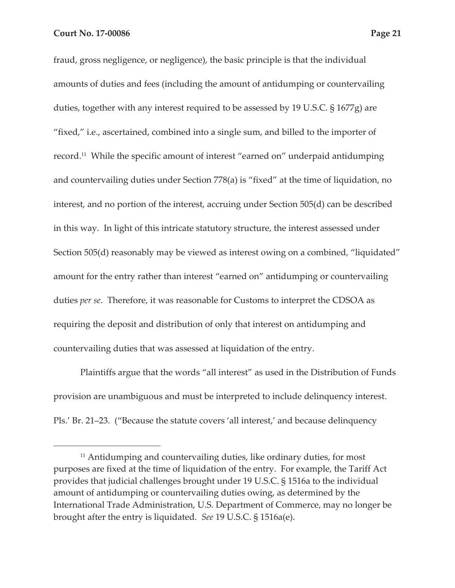fraud, gross negligence, or negligence), the basic principle is that the individual amounts of duties and fees (including the amount of antidumping or countervailing duties, together with any interest required to be assessed by 19 U.S.C. § 1677g) are "fixed," i.e., ascertained, combined into a single sum, and billed to the importer of record.11 While the specific amount of interest "earned on" underpaid antidumping and countervailing duties under Section 778(a) is "fixed" at the time of liquidation, no interest, and no portion of the interest, accruing under Section 505(d) can be described in this way. In light of this intricate statutory structure, the interest assessed under Section 505(d) reasonably may be viewed as interest owing on a combined, "liquidated" amount for the entry rather than interest "earned on" antidumping or countervailing duties *per se*. Therefore, it was reasonable for Customs to interpret the CDSOA as requiring the deposit and distribution of only that interest on antidumping and countervailing duties that was assessed at liquidation of the entry.

Plaintiffs argue that the words "all interest" as used in the Distribution of Funds provision are unambiguous and must be interpreted to include delinquency interest. Pls.' Br. 21–23. ("Because the statute covers 'all interest,' and because delinquency

<sup>&</sup>lt;sup>11</sup> Antidumping and countervailing duties, like ordinary duties, for most purposes are fixed at the time of liquidation of the entry. For example, the Tariff Act provides that judicial challenges brought under 19 U.S.C. § 1516a to the individual amount of antidumping or countervailing duties owing, as determined by the International Trade Administration, U.S. Department of Commerce, may no longer be brought after the entry is liquidated. *See* 19 U.S.C. § 1516a(e).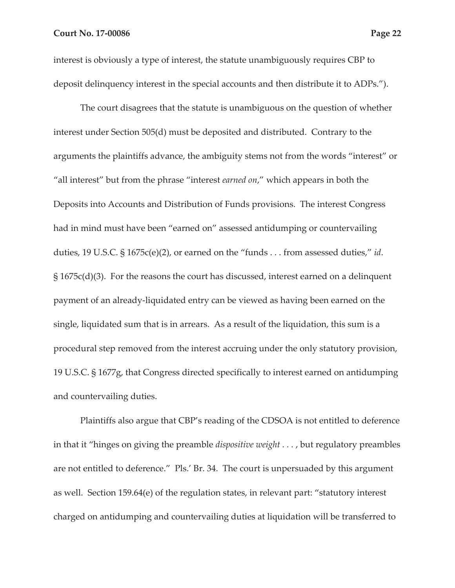interest is obviously a type of interest, the statute unambiguously requires CBP to deposit delinquency interest in the special accounts and then distribute it to ADPs.").

The court disagrees that the statute is unambiguous on the question of whether interest under Section 505(d) must be deposited and distributed. Contrary to the arguments the plaintiffs advance, the ambiguity stems not from the words "interest" or "all interest" but from the phrase "interest *earned on*," which appears in both the Deposits into Accounts and Distribution of Funds provisions. The interest Congress had in mind must have been "earned on" assessed antidumping or countervailing duties, 19 U.S.C. § 1675c(e)(2), or earned on the "funds . . . from assessed duties," *id*. § 1675c(d)(3). For the reasons the court has discussed, interest earned on a delinquent payment of an already-liquidated entry can be viewed as having been earned on the single, liquidated sum that is in arrears. As a result of the liquidation, this sum is a procedural step removed from the interest accruing under the only statutory provision, 19 U.S.C. § 1677g, that Congress directed specifically to interest earned on antidumping and countervailing duties.

Plaintiffs also argue that CBP's reading of the CDSOA is not entitled to deference in that it "hinges on giving the preamble *dispositive weight . . .* , but regulatory preambles are not entitled to deference." Pls.' Br. 34. The court is unpersuaded by this argument as well. Section 159.64(e) of the regulation states, in relevant part: "statutory interest charged on antidumping and countervailing duties at liquidation will be transferred to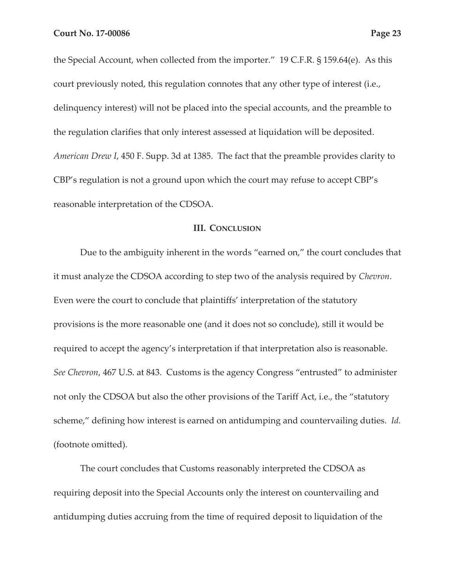the Special Account, when collected from the importer." 19 C.F.R. § 159.64(e). As this court previously noted, this regulation connotes that any other type of interest (i.e., delinquency interest) will not be placed into the special accounts, and the preamble to the regulation clarifies that only interest assessed at liquidation will be deposited. *American Drew I*, 450 F. Supp. 3d at 1385. The fact that the preamble provides clarity to CBP's regulation is not a ground upon which the court may refuse to accept CBP's reasonable interpretation of the CDSOA.

#### **III. CONCLUSION**

Due to the ambiguity inherent in the words "earned on," the court concludes that it must analyze the CDSOA according to step two of the analysis required by *Chevron*. Even were the court to conclude that plaintiffs' interpretation of the statutory provisions is the more reasonable one (and it does not so conclude), still it would be required to accept the agency's interpretation if that interpretation also is reasonable. *See Chevron*, 467 U.S. at 843. Customs is the agency Congress "entrusted" to administer not only the CDSOA but also the other provisions of the Tariff Act, i.e., the "statutory scheme," defining how interest is earned on antidumping and countervailing duties. *Id.* (footnote omitted).

The court concludes that Customs reasonably interpreted the CDSOA as requiring deposit into the Special Accounts only the interest on countervailing and antidumping duties accruing from the time of required deposit to liquidation of the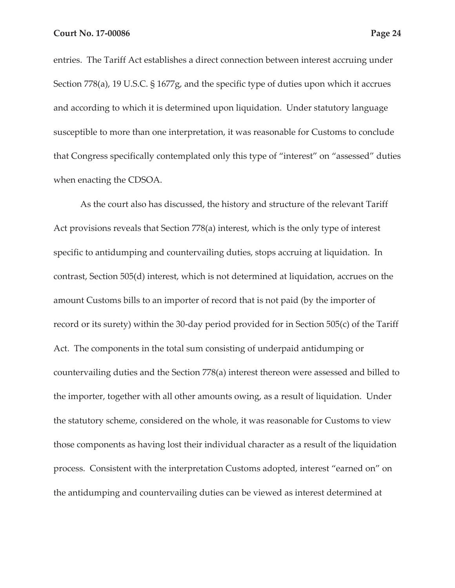entries. The Tariff Act establishes a direct connection between interest accruing under Section 778(a), 19 U.S.C. § 1677g, and the specific type of duties upon which it accrues and according to which it is determined upon liquidation. Under statutory language susceptible to more than one interpretation, it was reasonable for Customs to conclude that Congress specifically contemplated only this type of "interest" on "assessed" duties when enacting the CDSOA.

As the court also has discussed, the history and structure of the relevant Tariff Act provisions reveals that Section 778(a) interest, which is the only type of interest specific to antidumping and countervailing duties, stops accruing at liquidation. In contrast, Section 505(d) interest, which is not determined at liquidation, accrues on the amount Customs bills to an importer of record that is not paid (by the importer of record or its surety) within the 30-day period provided for in Section 505(c) of the Tariff Act. The components in the total sum consisting of underpaid antidumping or countervailing duties and the Section 778(a) interest thereon were assessed and billed to the importer, together with all other amounts owing, as a result of liquidation. Under the statutory scheme, considered on the whole, it was reasonable for Customs to view those components as having lost their individual character as a result of the liquidation process. Consistent with the interpretation Customs adopted, interest "earned on" on the antidumping and countervailing duties can be viewed as interest determined at